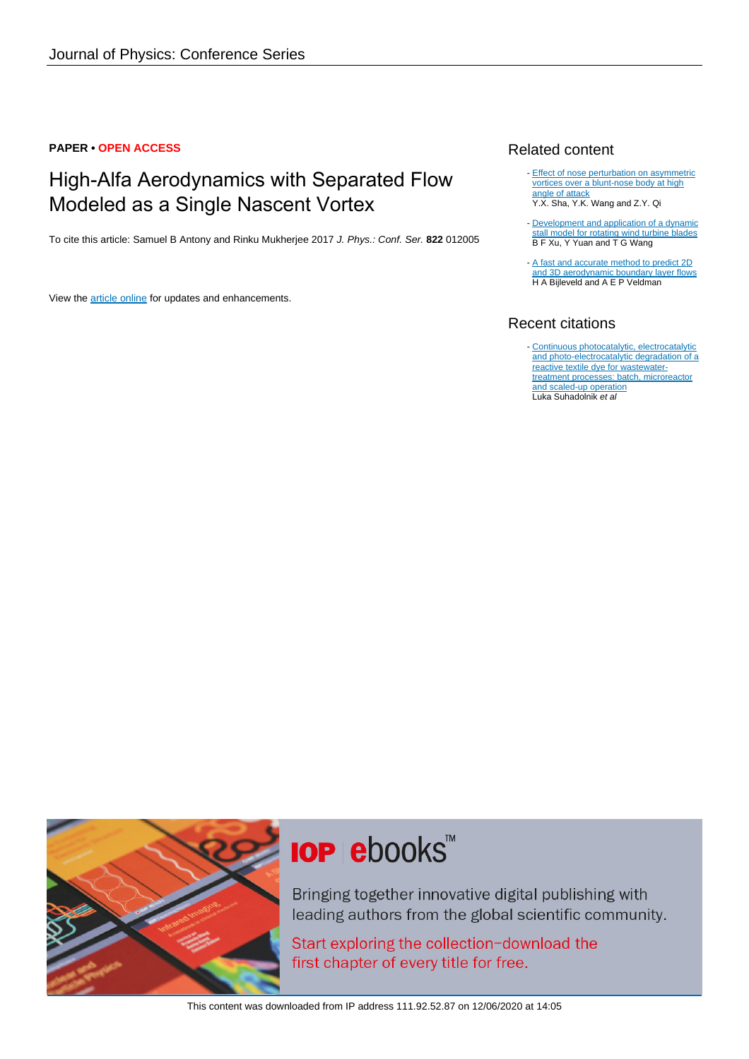#### **PAPER • OPEN ACCESS**

### High-Alfa Aerodynamics with Separated Flow Modeled as a Single Nascent Vortex

To cite this article: Samuel B Antony and Rinku Mukherjee 2017 J. Phys.: Conf. Ser. **822** 012005

View the [article online](https://doi.org/10.1088/1742-6596/822/1/012005) for updates and enhancements.

#### Related content

- [Effect of nose perturbation on asymmetric](http://iopscience.iop.org/article/10.1088/1742-6596/822/1/012053) [vortices over a blunt-nose body at high](http://iopscience.iop.org/article/10.1088/1742-6596/822/1/012053) [angle of attack](http://iopscience.iop.org/article/10.1088/1742-6596/822/1/012053) Y.X. Sha, Y.K. Wang and Z.Y. Qi
- [Development and application of a dynamic](http://iopscience.iop.org/article/10.1088/1742-6596/524/1/012133) [stall model for rotating wind turbine blades](http://iopscience.iop.org/article/10.1088/1742-6596/524/1/012133) B F Xu, Y Yuan and T G Wang
- [A fast and accurate method to predict 2D](http://iopscience.iop.org/article/10.1088/1742-6596/555/1/012010) [and 3D aerodynamic boundary layer flows](http://iopscience.iop.org/article/10.1088/1742-6596/555/1/012010) H A Bijleveld and A E P Veldman -

#### Recent citations

- [Continuous photocatalytic, electrocatalytic](http://dx.doi.org/10.1016/j.jiec.2018.12.017) [and photo-electrocatalytic degradation of a](http://dx.doi.org/10.1016/j.jiec.2018.12.017) [reactive textile dye for wastewater](http://dx.doi.org/10.1016/j.jiec.2018.12.017)[treatment processes: batch, microreactor](http://dx.doi.org/10.1016/j.jiec.2018.12.017) [and scaled-up operation](http://dx.doi.org/10.1016/j.jiec.2018.12.017)<br>Luka Suhadolnik *et al* 



# **IOP ebooks**™

Bringing together innovative digital publishing with leading authors from the global scientific community.

Start exploring the collection-download the first chapter of every title for free.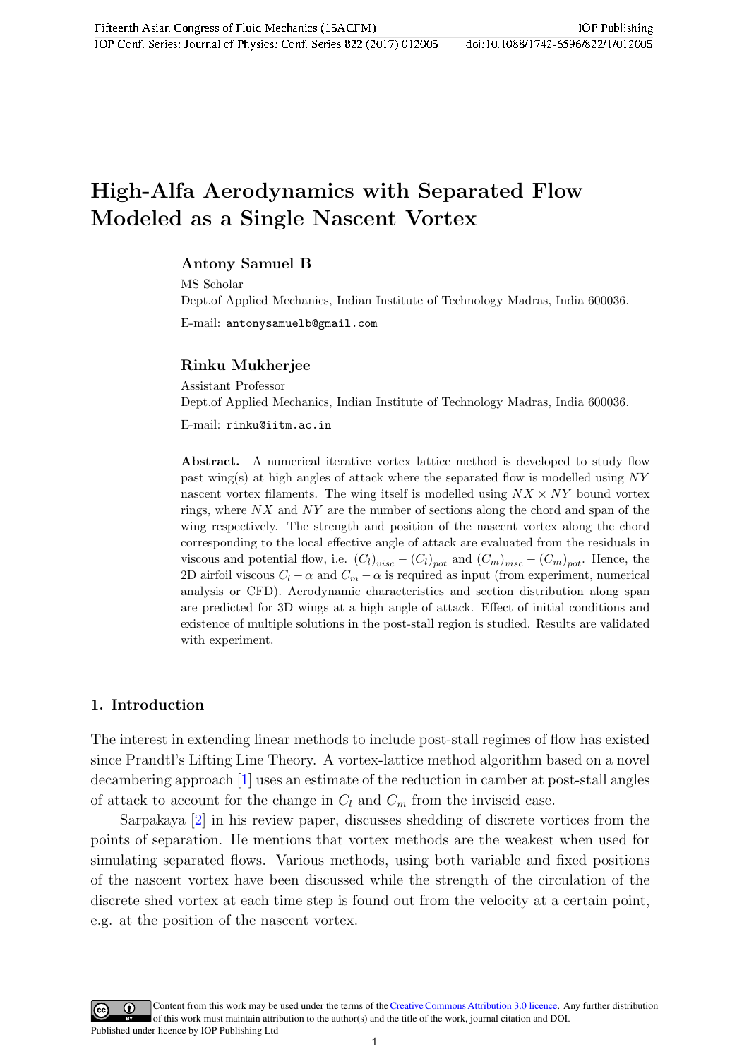## High-Alfa Aerodynamics with Separated Flow Modeled as a Single Nascent Vortex

#### Antony Samuel B

MS Scholar Dept.of Applied Mechanics, Indian Institute of Technology Madras, India 600036. E-mail: antonysamuelb@gmail.com

#### Rinku Mukherjee

Assistant Professor Dept.of Applied Mechanics, Indian Institute of Technology Madras, India 600036.

E-mail: rinku@iitm.ac.in

Abstract. A numerical iterative vortex lattice method is developed to study flow past wing(s) at high angles of attack where the separated flow is modelled using NY nascent vortex filaments. The wing itself is modelled using  $NX \times NY$  bound vortex rings, where  $NX$  and  $NY$  are the number of sections along the chord and span of the wing respectively. The strength and position of the nascent vortex along the chord corresponding to the local effective angle of attack are evaluated from the residuals in viscous and potential flow, i.e.  $(C_l)_{visc} - (C_l)_{pot}$  and  $(C_m)_{visc} - (C_m)_{pot}$ . Hence, the 2D airfoil viscous  $C_l - \alpha$  and  $C_m - \alpha$  is required as input (from experiment, numerical analysis or CFD). Aerodynamic characteristics and section distribution along span are predicted for 3D wings at a high angle of attack. Effect of initial conditions and existence of multiple solutions in the post-stall region is studied. Results are validated with experiment.

#### 1. Introduction

The interest in extending linear methods to include post-stall regimes of flow has existed since Prandtl's Lifting Line Theory. A vortex-lattice method algorithm based on a novel decambering approach [\[1\]](#page-7-0) uses an estimate of the reduction in camber at post-stall angles of attack to account for the change in  $C_l$  and  $C_m$  from the inviscid case.

Sarpakaya [\[2\]](#page-7-1) in his review paper, discusses shedding of discrete vortices from the points of separation. He mentions that vortex methods are the weakest when used for simulating separated flows. Various methods, using both variable and fixed positions of the nascent vortex have been discussed while the strength of the circulation of the discrete shed vortex at each time step is found out from the velocity at a certain point, e.g. at the position of the nascent vortex.

Content from this work may be used under the terms of th[eCreative Commons Attribution 3.0 licence.](http://creativecommons.org/licenses/by/3.0) Any further distribution of this work must maintain attribution to the author(s) and the title of the work, journal citation and DOI. Published under licence by IOP Publishing Ltd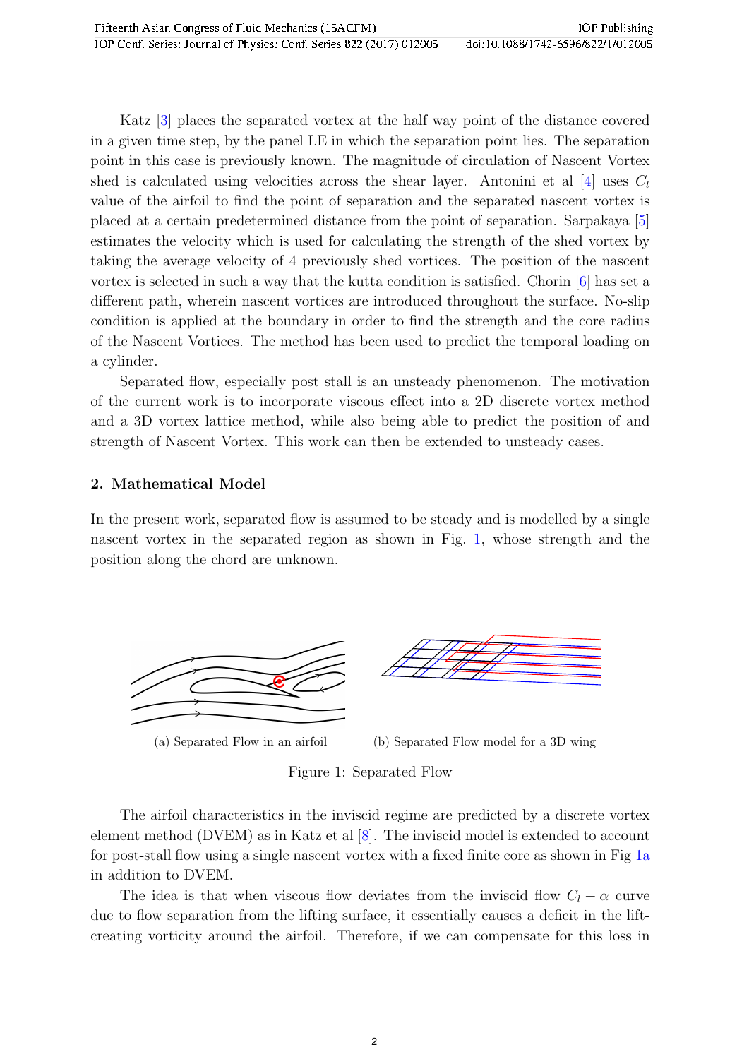Katz [\[3\]](#page-7-2) places the separated vortex at the half way point of the distance covered in a given time step, by the panel LE in which the separation point lies. The separation point in this case is previously known. The magnitude of circulation of Nascent Vortex shed is calculated using velocities across the shear layer. Antonini et al [\[4\]](#page-7-3) uses  $C_l$ value of the airfoil to find the point of separation and the separated nascent vortex is placed at a certain predetermined distance from the point of separation. Sarpakaya [\[5\]](#page-7-4) estimates the velocity which is used for calculating the strength of the shed vortex by taking the average velocity of 4 previously shed vortices. The position of the nascent vortex is selected in such a way that the kutta condition is satisfied. Chorin [\[6\]](#page-7-5) has set a different path, wherein nascent vortices are introduced throughout the surface. No-slip condition is applied at the boundary in order to find the strength and the core radius of the Nascent Vortices. The method has been used to predict the temporal loading on a cylinder.

Separated flow, especially post stall is an unsteady phenomenon. The motivation of the current work is to incorporate viscous effect into a 2D discrete vortex method and a 3D vortex lattice method, while also being able to predict the position of and strength of Nascent Vortex. This work can then be extended to unsteady cases.

#### 2. Mathematical Model

In the present work, separated flow is assumed to be steady and is modelled by a single nascent vortex in the separated region as shown in Fig. [1,](#page-2-0) whose strength and the position along the chord are unknown.

<span id="page-2-1"></span><span id="page-2-0"></span>



<span id="page-2-2"></span>Figure 1: Separated Flow

The airfoil characteristics in the inviscid regime are predicted by a discrete vortex element method (DVEM) as in Katz et al [\[8\]](#page-7-6). The inviscid model is extended to account for post-stall flow using a single nascent vortex with a fixed finite core as shown in Fig [1a](#page-2-1) in addition to DVEM.

The idea is that when viscous flow deviates from the inviscid flow  $C_l - \alpha$  curve due to flow separation from the lifting surface, it essentially causes a deficit in the liftcreating vorticity around the airfoil. Therefore, if we can compensate for this loss in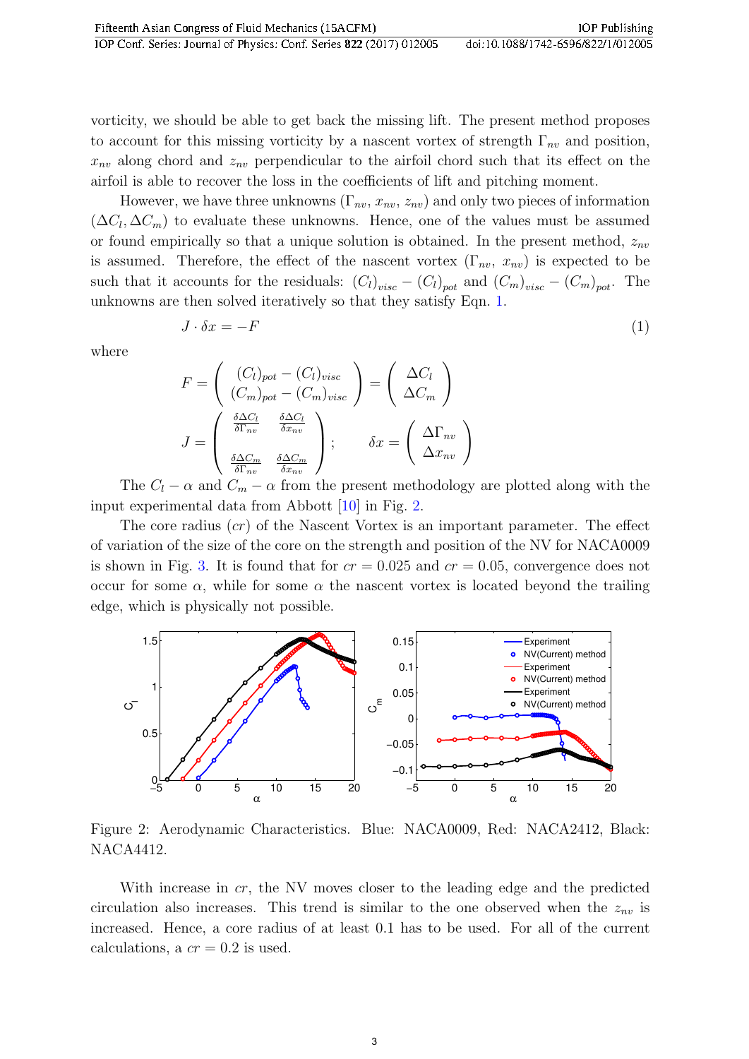vorticity, we should be able to get back the missing lift. The present method proposes to account for this missing vorticity by a nascent vortex of strength  $\Gamma_{nv}$  and position,  $x_{nv}$  along chord and  $z_{nv}$  perpendicular to the airfoil chord such that its effect on the airfoil is able to recover the loss in the coefficients of lift and pitching moment.

However, we have three unknowns  $(\Gamma_{nv}, x_{nv}, z_{nv})$  and only two pieces of information  $(\Delta C_l, \Delta C_m)$  to evaluate these unknowns. Hence, one of the values must be assumed or found empirically so that a unique solution is obtained. In the present method,  $z_{nv}$ is assumed. Therefore, the effect of the nascent vortex  $(\Gamma_{nv}, x_{nv})$  is expected to be such that it accounts for the residuals:  $(C_l)_{visc} - (C_l)_{pot}$  and  $(C_m)_{visc} - (C_m)_{pot}$ . The unknowns are then solved iteratively so that they satisfy Eqn. [1.](#page-3-0)

<span id="page-3-0"></span>
$$
J \cdot \delta x = -F \tag{1}
$$

where

$$
F = \begin{pmatrix} (C_l)_{pot} - (C_l)_{visc} \\ (C_m)_{pot} - (C_m)_{visc} \end{pmatrix} = \begin{pmatrix} \Delta C_l \\ \Delta C_m \end{pmatrix}
$$

$$
J = \begin{pmatrix} \frac{\delta \Delta C_l}{\delta \Gamma_{nv}} & \frac{\delta \Delta C_l}{\delta x_{nv}} \\ \frac{\delta \Delta C_m}{\delta \Gamma_{nv}} & \frac{\delta \Delta C_m}{\delta x_{nv}} \end{pmatrix}; \qquad \delta x = \begin{pmatrix} \Delta \Gamma_{nv} \\ \Delta x_{nv} \end{pmatrix}
$$

The  $C_l - \alpha$  and  $C_m - \alpha$  from the present methodology are plotted along with the input experimental data from Abbott [\[10\]](#page-7-7) in Fig. [2.](#page-3-1)

The core radius  $(cr)$  of the Nascent Vortex is an important parameter. The effect of variation of the size of the core on the strength and position of the NV for NACA0009 is shown in Fig. [3.](#page-4-0) It is found that for  $cr = 0.025$  and  $cr = 0.05$ , convergence does not occur for some  $\alpha$ , while for some  $\alpha$  the nascent vortex is located beyond the trailing edge, which is physically not possible.

<span id="page-3-1"></span>

Figure 2: Aerodynamic Characteristics. Blue: NACA0009, Red: NACA2412, Black: NACA4412.

With increase in cr, the NV moves closer to the leading edge and the predicted circulation also increases. This trend is similar to the one observed when the  $z_{nv}$  is increased. Hence, a core radius of at least 0.1 has to be used. For all of the current calculations, a  $cr = 0.2$  is used.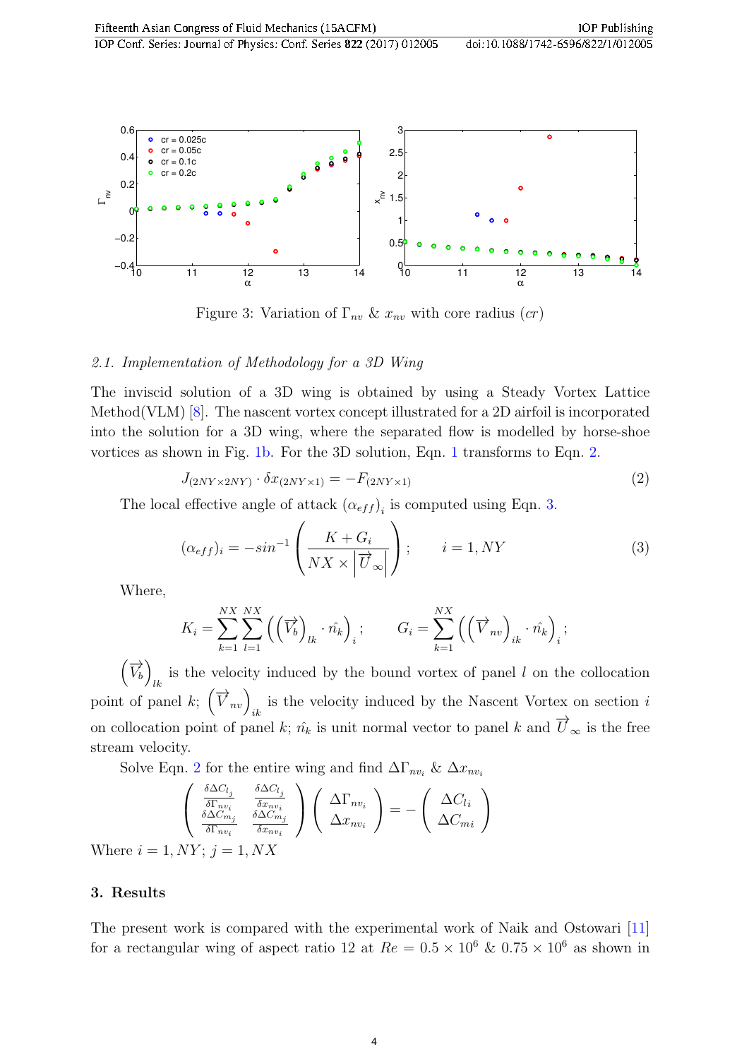<span id="page-4-0"></span>

Figure 3: Variation of  $\Gamma_{nv} \& x_{nv}$  with core radius  $(cr)$ 

#### 2.1. Implementation of Methodology for a 3D Wing

The inviscid solution of a 3D wing is obtained by using a Steady Vortex Lattice Method(VLM) [\[8\]](#page-7-6). The nascent vortex concept illustrated for a 2D airfoil is incorporated into the solution for a 3D wing, where the separated flow is modelled by horse-shoe vortices as shown in Fig. [1b.](#page-2-2) For the 3D solution, Eqn. [1](#page-3-0) transforms to Eqn. [2.](#page-4-1)

<span id="page-4-1"></span>
$$
J_{(2NY \times 2NY)} \cdot \delta x_{(2NY \times 1)} = -F_{(2NY \times 1)} \tag{2}
$$

The local effective angle of attack  $(\alpha_{eff})$ <sub>i</sub> is computed using Eqn. [3.](#page-4-2)

<span id="page-4-2"></span>
$$
(\alpha_{eff})_i = -\sin^{-1}\left(\frac{K + G_i}{NX \times \left|\overrightarrow{U}_{\infty}\right|}\right); \qquad i = 1, NY
$$
\n(3)

Where,

$$
K_i = \sum_{k=1}^{NX} \sum_{l=1}^{NX} \left( \left( \overrightarrow{V_b} \right)_{lk} \cdot \hat{n_k} \right)_i; \qquad G_i = \sum_{k=1}^{NX} \left( \left( \overrightarrow{V}_{nv} \right)_{ik} \cdot \hat{n_k} \right)_i;
$$

 $(\overrightarrow{V_b})$ is the velocity induced by the bound vortex of panel  $l$  on the collocation point of panel k;  $(\vec{V}_{nv})_{ik}$  is the velocity induced by the Nascent Vortex on section i on collocation point of panel k;  $\hat{n_k}$  is unit normal vector to panel k and  $\overrightarrow{U}_{\infty}$  is the free stream velocity.

Solve Eqn. [2](#page-4-1) for the entire wing and find  $\Delta\Gamma_{nv_i}$  &  $\Delta x_{nv_i}$ 

$$
\begin{pmatrix}\n\frac{\delta \Delta C_{l_j}}{\delta \Gamma_{nv_i}} & \frac{\delta \Delta C_{l_j}}{\delta x_{nv_i}} \\
\frac{\delta \Delta C_{m_j}}{\delta \Gamma_{nv_i}} & \frac{\delta \Delta C_{m_j}}{\delta x_{nv_i}}\n\end{pmatrix}\n\begin{pmatrix}\n\Delta \Gamma_{nv_i} \\
\Delta x_{nv_i}\n\end{pmatrix} = -\n\begin{pmatrix}\n\Delta C_{l_i} \\
\Delta C_{mi}\n\end{pmatrix}
$$
\n
$$
1, NY; j = 1, N X
$$

3. Results

Where  $i =$ 

The present work is compared with the experimental work of Naik and Ostowari [\[11\]](#page-7-8) for a rectangular wing of aspect ratio 12 at  $Re = 0.5 \times 10^6$  &  $0.75 \times 10^6$  as shown in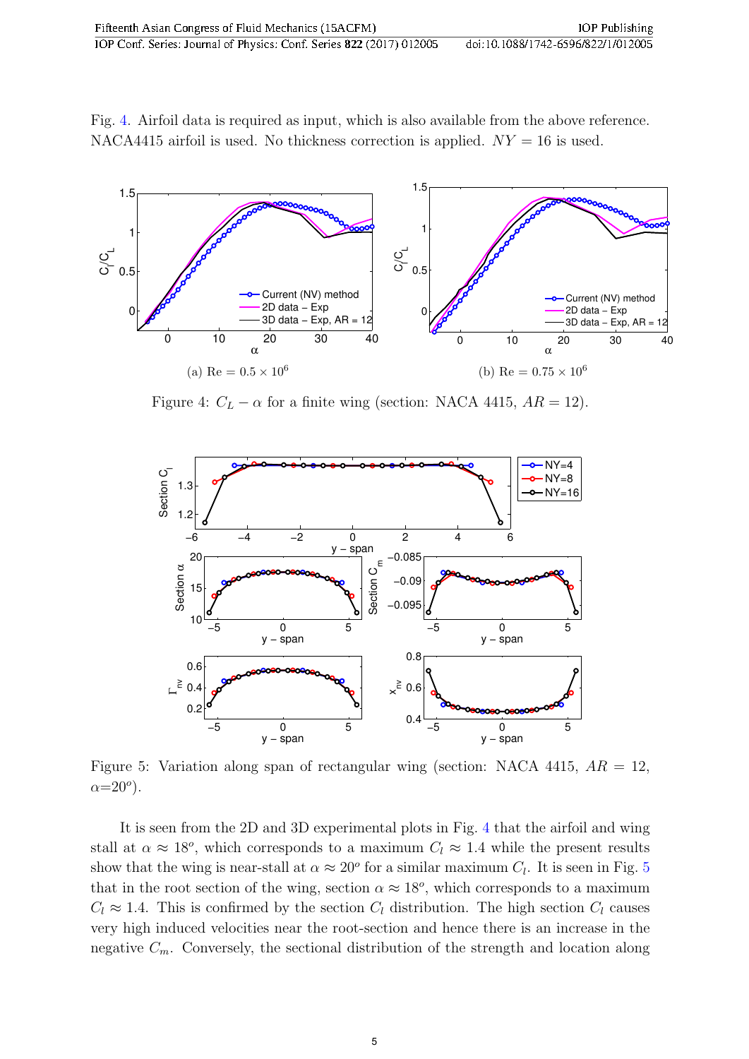Fig. [4.](#page-5-0) Airfoil data is required as input, which is also available from the above reference. NACA4415 airfoil is used. No thickness correction is applied.  $NY = 16$  is used.

<span id="page-5-0"></span>

Figure 4:  $C_L - \alpha$  for a finite wing (section: NACA 4415,  $AR = 12$ ).

<span id="page-5-1"></span>

Figure 5: Variation along span of rectangular wing (section: NACA 4415,  $AR = 12$ ,  $\alpha = 20^{\circ}$ ).

It is seen from the 2D and 3D experimental plots in Fig. [4](#page-5-0) that the airfoil and wing stall at  $\alpha \approx 18^{\circ}$ , which corresponds to a maximum  $C_l \approx 1.4$  while the present results show that the wing is near-stall at  $\alpha \approx 20^{\circ}$  for a similar maximum  $C_l$ . It is seen in Fig. [5](#page-5-1) that in the root section of the wing, section  $\alpha \approx 18^{\circ}$ , which corresponds to a maximum  $C_l \approx 1.4$ . This is confirmed by the section  $C_l$  distribution. The high section  $C_l$  causes very high induced velocities near the root-section and hence there is an increase in the negative  $C_m$ . Conversely, the sectional distribution of the strength and location along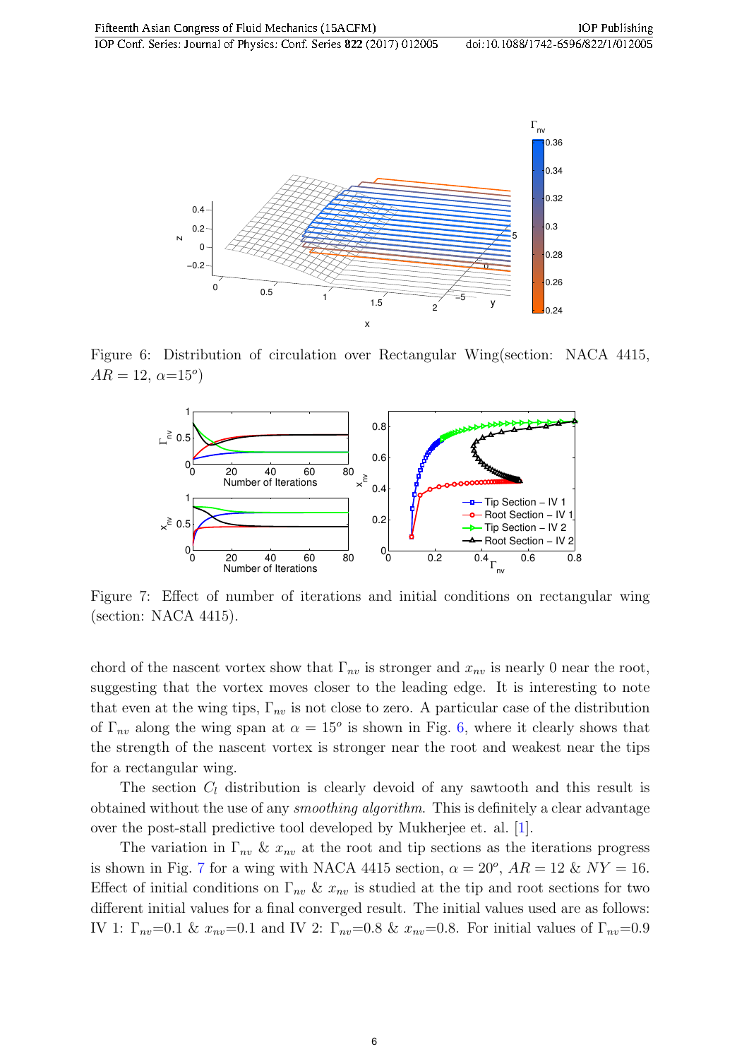<span id="page-6-0"></span>

<span id="page-6-1"></span>Figure 6: Distribution of circulation over Rectangular Wing(section: NACA 4415,  $AR = 12, \alpha = 15^{\circ}$ 



Figure 7: Effect of number of iterations and initial conditions on rectangular wing (section: NACA 4415).

chord of the nascent vortex show that  $\Gamma_{nv}$  is stronger and  $x_{nv}$  is nearly 0 near the root, suggesting that the vortex moves closer to the leading edge. It is interesting to note that even at the wing tips,  $\Gamma_{nv}$  is not close to zero. A particular case of the distribution of  $\Gamma_{nv}$  along the wing span at  $\alpha = 15^{\circ}$  is shown in Fig. [6,](#page-6-0) where it clearly shows that the strength of the nascent vortex is stronger near the root and weakest near the tips for a rectangular wing.

The section  $C_l$  distribution is clearly devoid of any sawtooth and this result is obtained without the use of any smoothing algorithm. This is definitely a clear advantage over the post-stall predictive tool developed by Mukherjee et. al. [\[1\]](#page-7-0).

The variation in  $\Gamma_{nv} \& x_{nv}$  at the root and tip sections as the iterations progress is shown in Fig. [7](#page-6-1) for a wing with NACA 4415 section,  $\alpha = 20^{\circ}$ ,  $AR = 12 \& NY = 16$ . Effect of initial conditions on  $\Gamma_{nv} \& x_{nv}$  is studied at the tip and root sections for two different initial values for a final converged result. The initial values used are as follows: IV 1:  $\Gamma_{nv}=0.1$  &  $x_{nv}=0.1$  and IV 2:  $\Gamma_{nv}=0.8$  &  $x_{nv}=0.8$ . For initial values of  $\Gamma_{nv}=0.9$